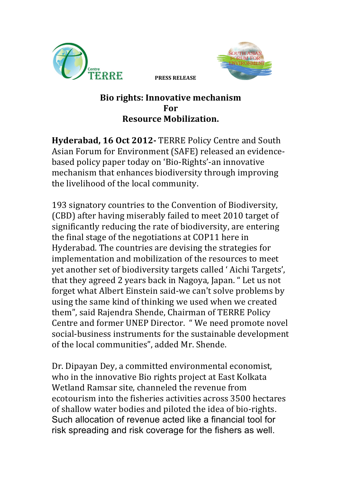



**PRESS RELEASE**

## **Bio rights: Innovative mechanism For Resource Mobilization.**

**Hyderabad, 16 Oct 2012- TERRE Policy Centre and South** Asian Forum for Environment (SAFE) released an evidencebased policy paper today on 'Bio-Rights'-an innovative mechanism that enhances biodiversity through improving the livelihood of the local community.

193 signatory countries to the Convention of Biodiversity, (CBD) after having miserably failed to meet 2010 target of significantly reducing the rate of biodiversity, are entering the final stage of the negotiations at COP11 here in Hyderabad. The countries are devising the strategies for implementation and mobilization of the resources to meet yet another set of biodiversity targets called 'Aichi Targets', that they agreed 2 years back in Nagoya, Japan. " Let us not forget what Albert Einstein said-we can't solve problems by using the same kind of thinking we used when we created them", said Rajendra Shende, Chairman of TERRE Policy Centre and former UNEP Director. " We need promote novel social-business instruments for the sustainable development of the local communities", added Mr. Shende.

Dr. Dipayan Dey, a committed environmental economist, who in the innovative Bio rights project at East Kolkata Wetland Ramsar site, channeled the revenue from ecotourism into the fisheries activities across 3500 hectares of shallow water bodies and piloted the idea of bio-rights. Such allocation of revenue acted like a financial tool for risk spreading and risk coverage for the fishers as well.